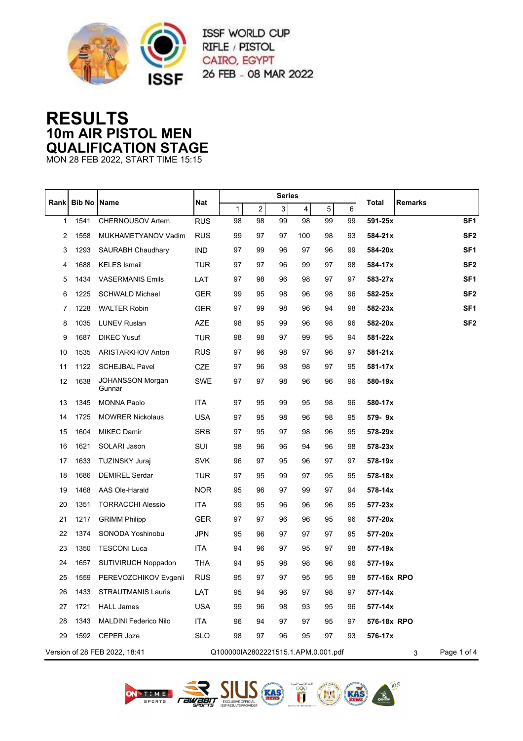

ISSF WORLD CUP RIFLE / PISTOL CAIRO, EGYPT 26 FEB - 08 MAR 2022

## **RESULTS 10m AIR PISTOL MEN QUALIFICATION STAGE**

MON 28 FEB 2022, START TIME 15:15

|              | <b>Bib No Name</b> |                                   |            | <b>Series</b>                       |                |    |     |                  |    |                            |
|--------------|--------------------|-----------------------------------|------------|-------------------------------------|----------------|----|-----|------------------|----|----------------------------|
| Rank         |                    |                                   | Nat        | $\mathbf{1}$                        | $\overline{a}$ | 3  | 4   | 5                | 6  | Remarks<br>Total           |
| $\mathbf{1}$ | 1541               | <b>CHERNOUSOV Artem</b>           | <b>RUS</b> | 98                                  | 98             | 99 | 98  | 99               | 99 | 591-25x<br>SF <sub>1</sub> |
| 2            | 1558               | MUKHAMETYANOV Vadim               | <b>RUS</b> | 99                                  | 97             | 97 | 100 | 98               | 93 | SF <sub>2</sub><br>584-21x |
| 3            | 1293               | <b>SAURABH Chaudhary</b>          | <b>IND</b> | 97                                  | 99             | 96 | 97  | 96               | 99 | SF <sub>1</sub><br>584-20x |
| 4            | 1688               | <b>KELES</b> Ismail               | TUR        | 97                                  | 97             | 96 | 99  | 97               | 98 | SF <sub>2</sub><br>584-17x |
| 5            | 1434               | <b>VASERMANIS Emils</b>           | LAT        | 97                                  | 98             | 96 | 98  | 97               | 97 | SF <sub>1</sub><br>583-27x |
| 6            | 1225               | <b>SCHWALD Michael</b>            | <b>GER</b> | 99                                  | 95             | 98 | 96  | 98               | 96 | SF <sub>2</sub><br>582-25x |
| 7            | 1228               | <b>WALTER Robin</b>               | <b>GER</b> | 97                                  | 99             | 98 | 96  | 94               | 98 | SF <sub>1</sub><br>582-23x |
| 8            | 1035               | <b>LUNEV Ruslan</b>               | AZE        | 98                                  | 95             | 99 | 96  | 98               | 96 | SF <sub>2</sub><br>582-20x |
| 9            | 1687               | <b>DIKEC Yusuf</b>                | <b>TUR</b> | 98                                  | 98             | 97 | 99  | 95               | 94 | 581-22x                    |
| 10           | 1535               | ARISTARKHOV Anton                 | <b>RUS</b> | 97                                  | 96             | 98 | 97  | 96               | 97 | 581-21x                    |
| 11           | 1122               | <b>SCHEJBAL Pavel</b>             | CZE        | 97                                  | 96             | 98 | 98  | 97               | 95 | 581-17x                    |
| 12           | 1638               | <b>JOHANSSON Morgan</b><br>Gunnar | <b>SWE</b> | 97                                  | 97             | 98 | 96  | 96               | 96 | 580-19x                    |
| 13           | 1345               | <b>MONNA Paolo</b>                | <b>ITA</b> | 97                                  | 95             | 99 | 95  | 98               | 96 | 580-17x                    |
| 14           | 1725               | <b>MOWRER Nickolaus</b>           | <b>USA</b> | 97                                  | 95             | 98 | 96  | 98               | 95 | 579-9x                     |
| 15           | 1604               | <b>MIKEC Damir</b>                | <b>SRB</b> | 97                                  | 95             | 97 | 98  | 96               | 95 | 578-29x                    |
| 16           | 1621               | SOLARI Jason                      | SUI        | 98                                  | 96             | 96 | 94  | 96               | 98 | 578-23x                    |
| 17           | 1633               | <b>TUZINSKY Juraj</b>             | <b>SVK</b> | 96                                  | 97             | 95 | 96  | 97               | 97 | 578-19x                    |
| 18           | 1686               | <b>DEMIREL Serdar</b>             | TUR        | 97                                  | 95             | 99 | 97  | 95               | 95 | 578-18x                    |
| 19           | 1468               | AAS Ole-Harald                    | <b>NOR</b> | 95                                  | 96             | 97 | 99  | 97               | 94 | 578-14x                    |
| 20           | 1351               | <b>TORRACCHI Alessio</b>          | <b>ITA</b> | 99                                  | 95             | 96 | 96  | 96               | 95 | 577-23x                    |
| 21           | 1217               | <b>GRIMM Philipp</b>              | <b>GER</b> | 97                                  | 97             | 96 | 96  | 95               | 96 | 577-20x                    |
| 22           | 1374               | SONODA Yoshinobu                  | <b>JPN</b> | 95                                  | 96             | 97 | 97  | 97               | 95 | 577-20x                    |
| 23           | 1350               | <b>TESCONI Luca</b>               | <b>ITA</b> | 94                                  | 96             | 97 | 95  | 97               | 98 | 577-19x                    |
| 24           | 1657               | <b>SUTIVIRUCH Noppadon</b>        | THA        | 94                                  | 95             | 98 | 98  | 96               | 96 | 577-19x                    |
| 25           | 1559               | PEREVOZCHIKOV Evgenii             | RUS        | 95                                  | 97             | 97 | 95  | 95               | 98 | 577-16x RPO                |
| 26           | 1433               | <b>STRAUTMANIS Lauris</b>         | LAT        | 95                                  | 94             | 96 | 97  | 98               | 97 | 577-14x                    |
| 27           | 1721               | <b>HALL James</b>                 | <b>USA</b> | 99                                  | 96             | 98 | 93  | 95               | 96 | 577-14x                    |
| 28           | 1343               | <b>MALDINI Federico Nilo</b>      | ITA        | 96                                  | 94             | 97 | 97  | 95               | 97 | 576-18x RPO                |
| 29           |                    | 1592 CEPER Joze                   | <b>SLO</b> | 98                                  | 97             | 96 | 95  | 97               | 93 | 576-17x                    |
|              |                    | Version of 28 FEB 2022, 18:41     |            | Q100000IA2802221515.1.APM.0.001.pdf |                |    |     | Page 1 of 4<br>3 |    |                            |







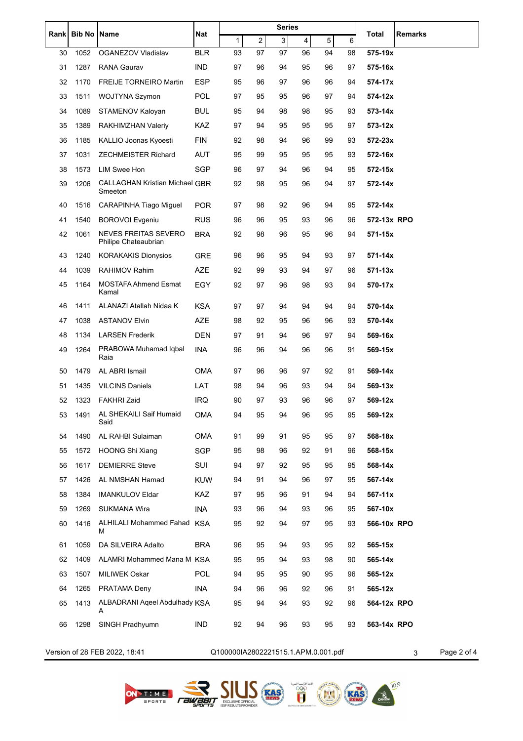| Rank | <b>Bib No</b> | Name                                                | Nat        | <b>Series</b>                       |                |                |    |    | Total<br>Remarks |                  |
|------|---------------|-----------------------------------------------------|------------|-------------------------------------|----------------|----------------|----|----|------------------|------------------|
|      |               |                                                     |            | 1                                   | $\overline{2}$ | $\overline{3}$ | 4  | 5  | 6                |                  |
| 30   | 1052          | OGANEZOV Vladislav                                  | <b>BLR</b> | 93                                  | 97             | 97             | 96 | 94 | 98               | 575-19x          |
| 31   | 1287          | <b>RANA Gaurav</b>                                  | <b>IND</b> | 97                                  | 96             | 94             | 95 | 96 | 97               | 575-16x          |
| 32   | 1170          | <b>FREIJE TORNEIRO Martin</b>                       | ESP        | 95                                  | 96             | 97             | 96 | 96 | 94               | 574-17x          |
| 33   | 1511          | WOJTYNA Szymon                                      | POL        | 97                                  | 95             | 95             | 96 | 97 | 94               | 574-12x          |
| 34   | 1089          | STAMENOV Kaloyan                                    | <b>BUL</b> | 95                                  | 94             | 98             | 98 | 95 | 93               | 573-14x          |
| 35   | 1389          | RAKHIMZHAN Valeriy                                  | KAZ        | 97                                  | 94             | 95             | 95 | 95 | 97               | 573-12x          |
| 36   | 1185          | KALLIO Joonas Kyoesti                               | FIN        | 92                                  | 98             | 94             | 96 | 99 | 93               | 572-23x          |
| 37   | 1031          | <b>ZECHMEISTER Richard</b>                          | AUT        | 95                                  | 99             | 95             | 95 | 95 | 93               | 572-16x          |
| 38   | 1573          | <b>LIM Swee Hon</b>                                 | <b>SGP</b> | 96                                  | 97             | 94             | 96 | 94 | 95               | 572-15x          |
| 39   | 1206          | <b>CALLAGHAN Kristian Michael GBR</b><br>Smeeton    |            | 92                                  | 98             | 95             | 96 | 94 | 97               | 572-14x          |
| 40   | 1516          | <b>CARAPINHA Tiago Miguel</b>                       | <b>POR</b> | 97                                  | 98             | 92             | 96 | 94 | 95               | 572-14x          |
| 41   | 1540          | <b>BOROVOI Evgeniu</b>                              | <b>RUS</b> | 96                                  | 96             | 95             | 93 | 96 | 96               | 572-13x RPO      |
| 42   | 1061          | <b>NEVES FREITAS SEVERO</b><br>Philipe Chateaubrian | <b>BRA</b> | 92                                  | 98             | 96             | 95 | 96 | 94               | 571-15x          |
| 43   | 1240          | <b>KORAKAKIS Dionysios</b>                          | GRE        | 96                                  | 96             | 95             | 94 | 93 | 97               | 571-14x          |
| 44   | 1039          | RAHIMOV Rahim                                       | <b>AZE</b> | 92                                  | 99             | 93             | 94 | 97 | 96               | $571 - 13x$      |
| 45   | 1164          | <b>MOSTAFA Ahmend Esmat</b><br>Kamal                | EGY        | 92                                  | 97             | 96             | 98 | 93 | 94               | 570-17x          |
| 46   | 1411          | ALANAZI Atallah Nidaa K                             | KSA        | 97                                  | 97             | 94             | 94 | 94 | 94               | 570-14x          |
| 47   | 1038          | <b>ASTANOV Elvin</b>                                | AZE        | 98                                  | 92             | 95             | 96 | 96 | 93               | 570-14x          |
| 48   | 1134          | <b>LARSEN Frederik</b>                              | DEN        | 97                                  | 91             | 94             | 96 | 97 | 94               | 569-16x          |
| 49   | 1264          | PRABOWA Muhamad Iqbal<br>Raia                       | INA        | 96                                  | 96             | 94             | 96 | 96 | 91               | 569-15x          |
| 50   | 1479          | AL ABRI Ismail                                      | <b>OMA</b> | 97                                  | 96             | 96             | 97 | 92 | 91               | 569-14x          |
| 51   | 1435          | <b>VILCINS Daniels</b>                              | LAT        | 98                                  | 94             | 96             | 93 | 94 | 94               | 569-13x          |
| 52   | 1323          | <b>FAKHRI Zaid</b>                                  | IRQ        | 90                                  | 97             | 93             | 96 | 96 | 97               | 569-12x          |
| 53   |               | 1491 AL SHEKAILI Saif Humaid<br>Said                | OMA        | 94                                  | 95             | 94             | 96 | 95 | 95               | 569-12x          |
| 54   | 1490          | AL RAHBI Sulaiman                                   | <b>OMA</b> | 91                                  | 99             | 91             | 95 | 95 | 97               | 568-18x          |
| 55   | 1572          | <b>HOONG Shi Xiang</b>                              | <b>SGP</b> | 95                                  | 98             | 96             | 92 | 91 | 96               | 568-15x          |
| 56   | 1617          | <b>DEMIERRE Steve</b>                               | SUI        | 94                                  | 97             | 92             | 95 | 95 | 95               | 568-14x          |
| 57   | 1426          | AL NMSHAN Hamad                                     | <b>KUW</b> | 94                                  | 91             | 94             | 96 | 97 | 95               | 567-14x          |
| 58   | 1384          | <b>IMANKULOV Eldar</b>                              | KAZ        | 97                                  | 95             | 96             | 91 | 94 | 94               | 567-11x          |
| 59   | 1269          | <b>SUKMANA Wira</b>                                 | INA        | 93                                  | 96             | 94             | 93 | 96 | 95               | 567-10x          |
| 60   | 1416          | ALHILALI Mohammed Fahad KSA<br>М                    |            | 95                                  | 92             | 94             | 97 | 95 | 93               | 566-10x RPO      |
| 61   | 1059          | DA SILVEIRA Adalto                                  | <b>BRA</b> | 96                                  | 95             | 94             | 93 | 95 | 92               | 565-15x          |
| 62   | 1409          | ALAMRI Mohammed Mana M KSA                          |            | 95                                  | 95             | 94             | 93 | 98 | 90               | 565-14x          |
| 63   | 1507          | <b>MILIWEK Oskar</b>                                | <b>POL</b> | 94                                  | 95             | 95             | 90 | 95 | 96               | 565-12x          |
| 64   | 1265          | PRATAMA Deny                                        | <b>INA</b> | 94                                  | 96             | 96             | 92 | 96 | 91               | 565-12x          |
| 65   | 1413          | ALBADRANI Ageel Abdulhady KSA<br>A                  |            | 95                                  | 94             | 94             | 93 | 92 | 96               | 564-12x RPO      |
| 66   | 1298          | SINGH Pradhyumn                                     | IND        | 92                                  | 94             | 96             | 93 | 95 | 93               | 563-14x RPO      |
|      |               | Version of 28 FEB 2022, 18:41                       |            | Q100000IA2802221515.1.APM.0.001.pdf |                |                |    |    |                  | Page 2 of 4<br>3 |



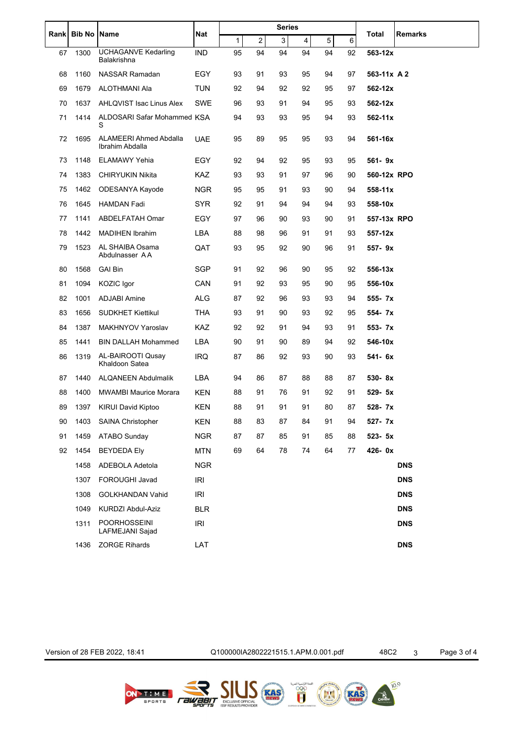|    | Rank Bib No Name |                                                  | Nat        | <b>Series</b> |    |    |    |    |    |              |                |
|----|------------------|--------------------------------------------------|------------|---------------|----|----|----|----|----|--------------|----------------|
|    |                  |                                                  |            | 1             | 2  | 3  | 4  | 5  | 6  | <b>Total</b> | <b>Remarks</b> |
| 67 | 1300             | <b>UCHAGANVE Kedarling</b><br>Balakrishna        | <b>IND</b> | 95            | 94 | 94 | 94 | 94 | 92 | 563-12x      |                |
| 68 | 1160             | <b>NASSAR Ramadan</b>                            | EGY        | 93            | 91 | 93 | 95 | 94 | 97 | 563-11x A 2  |                |
| 69 | 1679             | ALOTHMANI Ala                                    | TUN        | 92            | 94 | 92 | 92 | 95 | 97 | 562-12x      |                |
| 70 | 1637             | AHLQVIST Isac Linus Alex                         | SWE        | 96            | 93 | 91 | 94 | 95 | 93 | 562-12x      |                |
| 71 | 1414             | ALDOSARI Safar Mohammed KSA<br>S                 |            | 94            | 93 | 93 | 95 | 94 | 93 | 562-11x      |                |
| 72 | 1695             | <b>ALAMEERI Ahmed Abdalla</b><br>Ibrahim Abdalla | <b>UAE</b> | 95            | 89 | 95 | 95 | 93 | 94 | 561-16x      |                |
| 73 | 1148             | <b>ELAMAWY Yehia</b>                             | EGY        | 92            | 94 | 92 | 95 | 93 | 95 | 561-9x       |                |
| 74 | 1383             | <b>CHIRYUKIN Nikita</b>                          | <b>KAZ</b> | 93            | 93 | 91 | 97 | 96 | 90 | 560-12x RPO  |                |
| 75 | 1462             | ODESANYA Kayode                                  | <b>NGR</b> | 95            | 95 | 91 | 93 | 90 | 94 | 558-11x      |                |
| 76 | 1645             | <b>HAMDAN Fadi</b>                               | <b>SYR</b> | 92            | 91 | 94 | 94 | 94 | 93 | 558-10x      |                |
| 77 | 1141             | ABDELFATAH Omar                                  | EGY        | 97            | 96 | 90 | 93 | 90 | 91 | 557-13x RPO  |                |
| 78 | 1442             | <b>MADIHEN Ibrahim</b>                           | LBA        | 88            | 98 | 96 | 91 | 91 | 93 | 557-12x      |                |
| 79 | 1523             | AL SHAIBA Osama<br>Abdulnasser AA                | QAT        | 93            | 95 | 92 | 90 | 96 | 91 | 557-9x       |                |
| 80 | 1568             | <b>GAI Bin</b>                                   | <b>SGP</b> | 91            | 92 | 96 | 90 | 95 | 92 | 556-13x      |                |
| 81 | 1094             | KOZIC Igor                                       | CAN        | 91            | 92 | 93 | 95 | 90 | 95 | 556-10x      |                |
| 82 | 1001             | ADJABI Amine                                     | ALG        | 87            | 92 | 96 | 93 | 93 | 94 | 555-7x       |                |
| 83 | 1656             | <b>SUDKHET Kiettikul</b>                         | <b>THA</b> | 93            | 91 | 90 | 93 | 92 | 95 | 554-7x       |                |
| 84 | 1387             | MAKHNYOV Yaroslav                                | <b>KAZ</b> | 92            | 92 | 91 | 94 | 93 | 91 | 553- 7x      |                |
| 85 | 1441             | <b>BIN DALLAH Mohammed</b>                       | LBA        | 90            | 91 | 90 | 89 | 94 | 92 | 546-10x      |                |
| 86 | 1319             | AL-BAIROOTI Qusay<br>Khaldoon Satea              | <b>IRQ</b> | 87            | 86 | 92 | 93 | 90 | 93 | 541- 6x      |                |
| 87 | 1440             | <b>ALQANEEN Abdulmalik</b>                       | LBA        | 94            | 86 | 87 | 88 | 88 | 87 | 530-8x       |                |
| 88 | 1400             | <b>MWAMBI Maurice Morara</b>                     | KEN        | 88            | 91 | 76 | 91 | 92 | 91 | 529- 5x      |                |
| 89 | 1397             | <b>KIRUI David Kiptoo</b>                        | KEN        | 88            | 91 | 91 | 91 | 80 | 87 | 528-7x       |                |
| 90 | 1403             | SAINA Christopher                                | KEN        | 88            | 83 | 87 | 84 | 91 | 94 | 527-7x       |                |
| 91 | 1459             | <b>ATABO Sunday</b>                              | <b>NGR</b> | 87            | 87 | 85 | 91 | 85 | 88 | 523- 5x      |                |
| 92 | 1454             | <b>BEYDEDA Ely</b>                               | <b>MTN</b> | 69            | 64 | 78 | 74 | 64 | 77 | 426-0x       |                |
|    | 1458             | ADEBOLA Adetola                                  | <b>NGR</b> |               |    |    |    |    |    |              | <b>DNS</b>     |
|    | 1307             | FOROUGHI Javad                                   | <b>IRI</b> |               |    |    |    |    |    |              | <b>DNS</b>     |
|    | 1308             | GOLKHANDAN Vahid                                 | <b>IRI</b> |               |    |    |    |    |    |              | <b>DNS</b>     |
|    | 1049             | KURDZI Abdul-Aziz                                | <b>BLR</b> |               |    |    |    |    |    |              | <b>DNS</b>     |
|    | 1311             | <b>POORHOSSEINI</b><br>LAFMEJANI Sajad           | <b>IRI</b> |               |    |    |    |    |    |              | <b>DNS</b>     |
|    | 1436             | <b>ZORGE Rihards</b>                             | LAT        |               |    |    |    |    |    |              | <b>DNS</b>     |

اللجنة الأولسيية المعر<br>التي التي التي التي<br>التي التي التي التي التي<br>التي التي

ON TIME FEWERITY ISSUES (RAS)

OES A